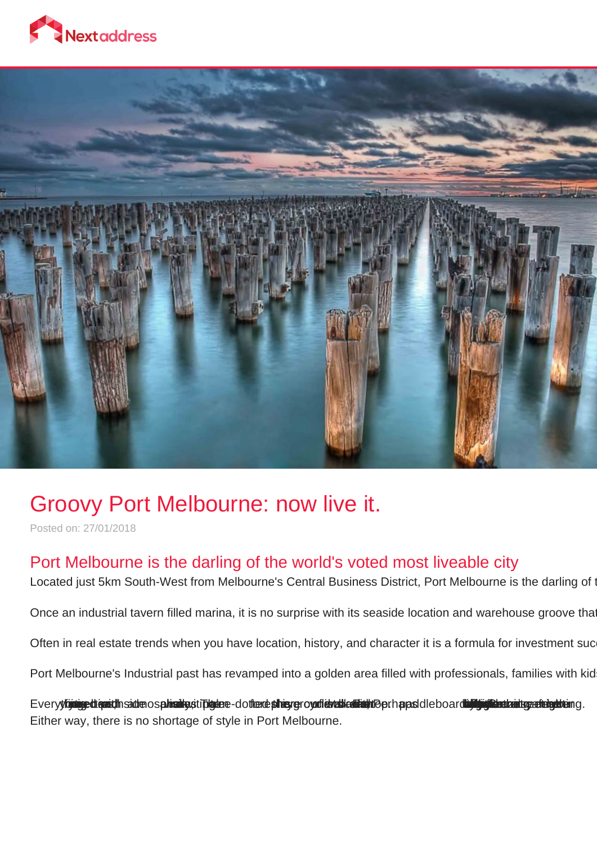



## Groovy Port Melbourne: now live it.

Posted on: 27/01/2018

## Port Melbourne is the darling of the world's voted most liveable city

Located just 5km South-West from Melbourne's Central Business District, Port Melbourne is the darling of the

Once an industrial tavern filled marina, it is no surprise with its seaside location and warehouse groove tha

Often in real estate trends when you have location, history, and character it is a formula for investment suc

Port Melbourne's Industrial past has revamped into a golden area filled with professionals, families with kid

Everyttiniggedt gast/InsadtenospulvasitystTDlgdere-dotterde phisygroyadlevables habit til Berhapasdleboardbyllig Gandbastgeethabydduang. Either way, there is no shortage of style in Port Melbourne.